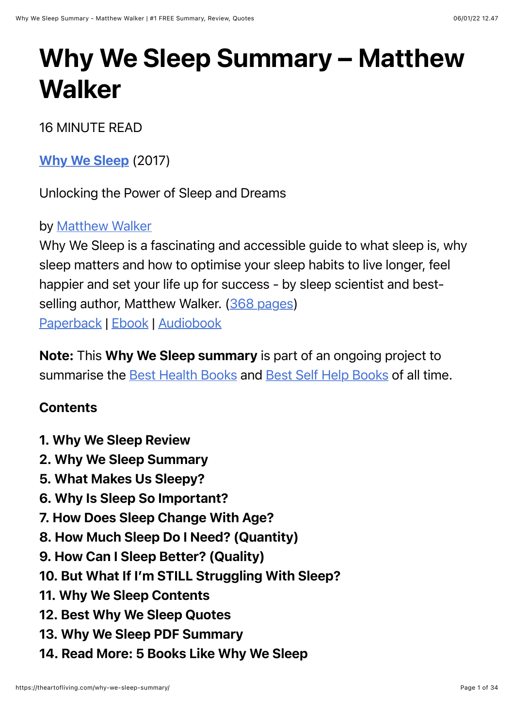# Why We Sleep Summary – Matthew **Walker**

16 MINUTE READ

[Why We Sleep](https://www.amazon.com/dp/1501144324/?tag=whywhathow-20) (2017)

Unlocking the Power of Sleep and Dreams

#### by [Matthew Walker](https://theartofliving.com/best-matthew-walker-books/)

Why We Sleep is a fascinating and accessible guide to what sleep is, why sleep matters and how to optimise your sleep habits to live longer, feel happier and set your life up for success - by sleep scientist and best-selling author, Matthew Walker. [\(368 pages](https://theartofliving.com/how-long-does-it-take-to-read-400-pages/)) [Paperback](https://www.amazon.com/dp/1501144324/?tag=whywhathow-20) | [Ebook](https://www.amazon.com/dp/B06ZZ1YGJ5/?tag=whywhathow-20) | [Audiobook](https://www.amazon.com/dp/B0752XRB5F/?tag=whywhathow-20)

Note: This Why We Sleep summary is part of an ongoing project to summarise the [Best Health Books](https://theartofliving.com/best-health-books-physical/) and [Best Self Help Books](https://theartofliving.com/best-self-help-books/) of all time.

#### **Contents**

- 1. Why We Sleep Review
- 2. Why We Sleep Summary
- 5. What Makes Us Sleepy?
- 6. Why Is Sleep So Important?
- 7. How Does Sleep Change With Age?
- 8. How Much Sleep Do I Need? (Quantity)
- 9. How Can I Sleep Better? (Quality)
- 10. But What If I'm STILL Struggling With Sleep?
- 11. Why We Sleep Contents
- 12. Best Why We Sleep Quotes
- 13. Why We Sleep PDF Summary
- 14. Read More: 5 Books Like Why We Sleep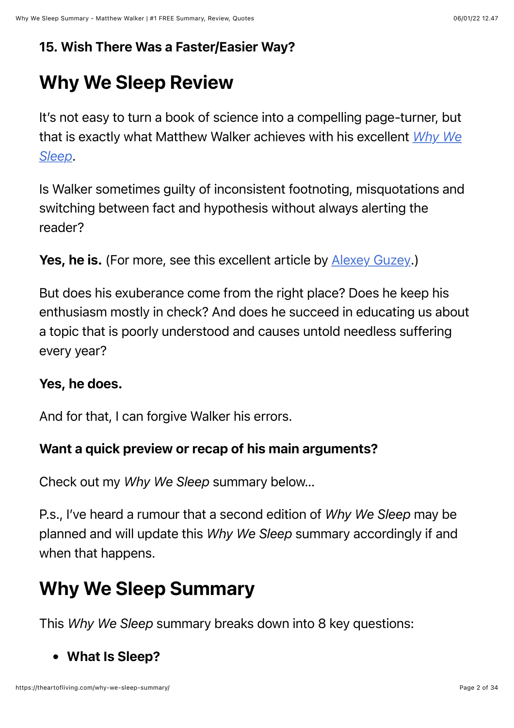#### 15. Wish There Was a Faster/Easier Way?

# Why We Sleep Review

It's not easy to turn a book of science into a compelling page-turner, but [that is exactly what Matthew Walker achieves with his excellent](https://www.amazon.com/dp/1501144324/?tag=whywhathow-20) *Why We Sleep*.

Is Walker sometimes guilty of inconsistent footnoting, misquotations and switching between fact and hypothesis without always alerting the reader?

```
Yes, he is. (For more, see this excellent article by Alexey Guzey.)
```
But does his exuberance come from the right place? Does he keep his enthusiasm mostly in check? And does he succeed in educating us about a topic that is poorly understood and causes untold needless suffering every year?

#### Yes, he does.

And for that, I can forgive Walker his errors.

#### Want a quick preview or recap of his main arguments?

Check out my *Why We Sleep* summary below…

P.s., I've heard a rumour that a second edition of *Why We Sleep* may be planned and will update this *Why We Sleep* summary accordingly if and when that happens.

# Why We Sleep Summary

This *Why We Sleep* summary breaks down into 8 key questions:

#### What Is Sleep?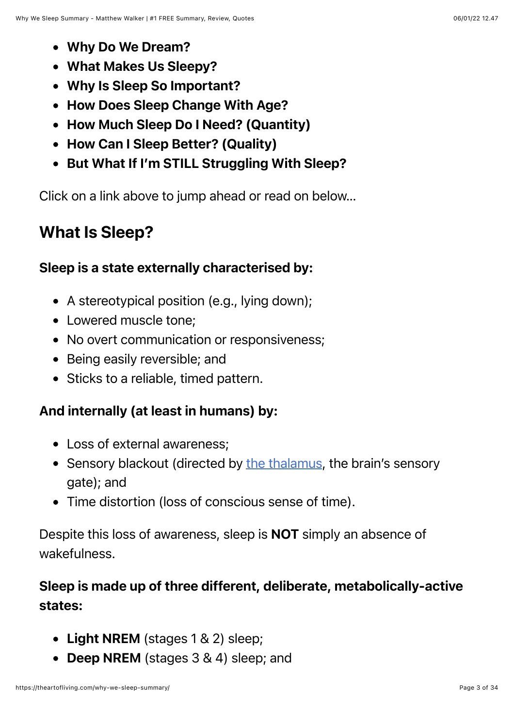- Why Do We Dream?
- What Makes Us Sleepy?
- Why Is Sleep So Important?
- How Does Sleep Change With Age?
- How Much Sleep Do I Need? (Quantity)
- How Can I Sleep Better? (Quality)
- But What If I'm STILL Struggling With Sleep?

Click on a link above to jump ahead or read on below…

### What Is Sleep?

#### Sleep is a state externally characterised by:

- A stereotypical position (e.g., lying down);
- Lowered muscle tone;
- No overt communication or responsiveness;
- Being easily reversible; and
- Sticks to a reliable, timed pattern.

#### And internally (at least in humans) by:

- Loss of external awareness;
- Sensory blackout (directed by [the thalamus,](https://en.wikipedia.org/wiki/Thalamus) the brain's sensory gate); and
- Time distortion (loss of conscious sense of time).

Despite this loss of awareness, sleep is NOT simply an absence of wakefulness.

### Sleep is made up of three different, deliberate, metabolically-active states:

- Light NREM (stages 1 & 2) sleep:
- Deep NREM (stages 3 & 4) sleep; and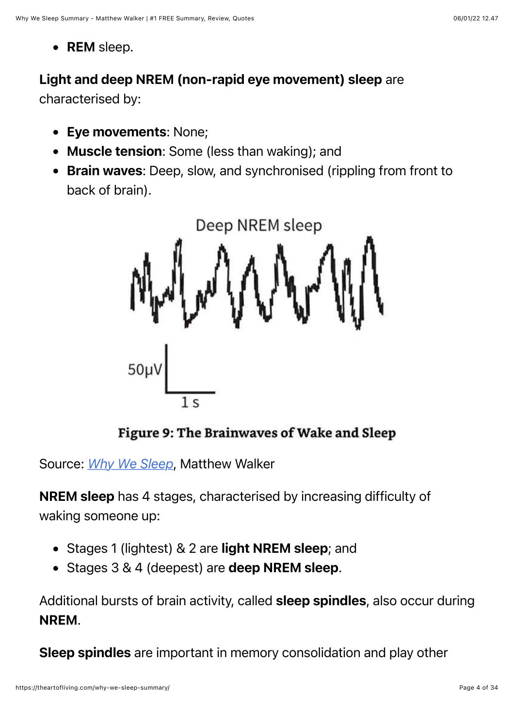• REM sleep.

#### Light and deep NREM (non-rapid eye movement) sleep are

characterised by:

- Eye movements: None;
- Muscle tension: Some (less than waking); and
- Brain waves: Deep, slow, and synchronised (rippling from front to back of brain).



Figure 9: The Brainwaves of Wake and Sleep

Source: *[Why We Sleep](https://www.amazon.com/dp/1501144324/?tag=whywhathow-20)*, Matthew Walker

NREM sleep has 4 stages, characterised by increasing difficulty of waking someone up:

- Stages 1 (lightest) & 2 are light NREM sleep; and
- Stages 3 & 4 (deepest) are deep NREM sleep.

Additional bursts of brain activity, called sleep spindles, also occur during NREM.

Sleep spindles are important in memory consolidation and play other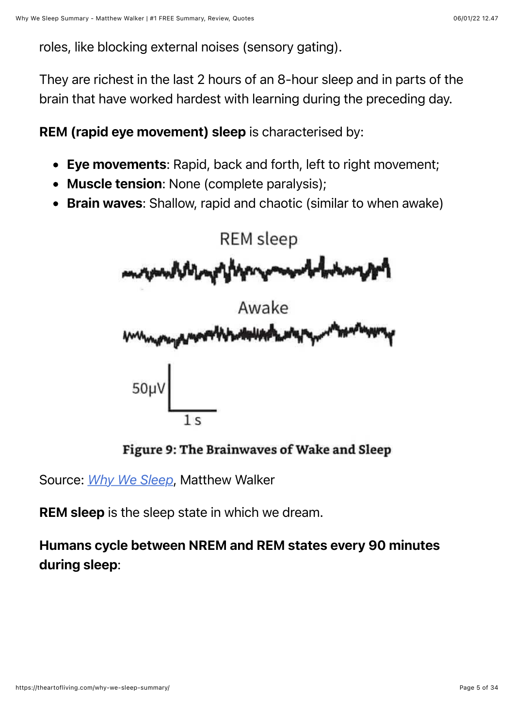roles, like blocking external noises (sensory gating).

They are richest in the last 2 hours of an 8-hour sleep and in parts of the brain that have worked hardest with learning during the preceding day.

REM (rapid eye movement) sleep is characterised by:

- Eye movements: Rapid, back and forth, left to right movement;
- Muscle tension: None (complete paralysis);
- Brain waves: Shallow, rapid and chaotic (similar to when awake)



Figure 9: The Brainwaves of Wake and Sleep

Source: *[Why We Sleep](https://www.amazon.com/dp/1501144324/?tag=whywhathow-20)*, Matthew Walker

**REM sleep** is the sleep state in which we dream.

Humans cycle between NREM and REM states every 90 minutes during sleep: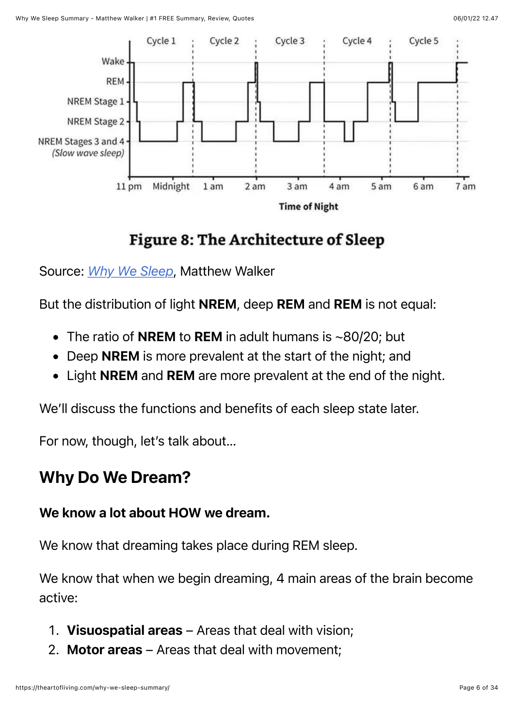

### Figure 8: The Architecture of Sleep

#### Source: *[Why We Sleep](https://www.amazon.com/dp/1501144324/?tag=whywhathow-20)*, Matthew Walker

But the distribution of light NREM, deep REM and REM is not equal:

- The ratio of **NREM** to **REM** in adult humans is  $\sim$ 80/20; but
- Deep NREM is more prevalent at the start of the night; and
- Light NREM and REM are more prevalent at the end of the night.

We'll discuss the functions and benefits of each sleep state later.

For now, though, let's talk about…

### Why Do We Dream?

#### We know a lot about HOW we dream.

We know that dreaming takes place during REM sleep.

We know that when we begin dreaming, 4 main areas of the brain become active:

- 1. Visuospatial areas Areas that deal with vision;
- 2. Motor areas Areas that deal with movement;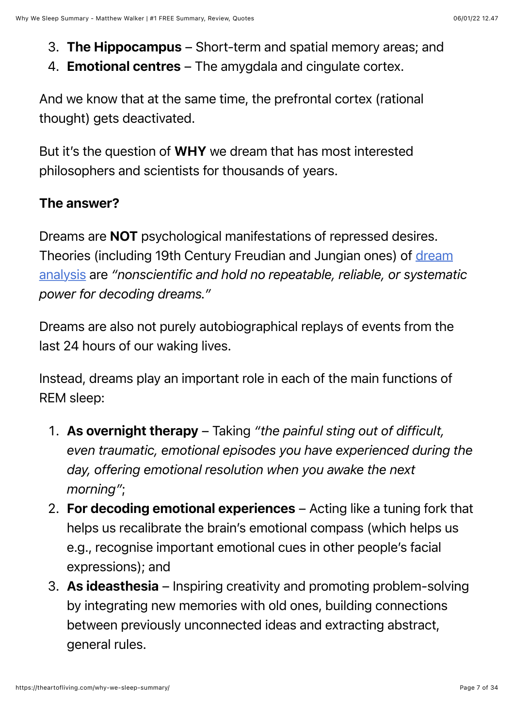- 3. The Hippocampus Short-term and spatial memory areas; and
- 4. **Emotional centres** The amygdala and cingulate cortex.

And we know that at the same time, the prefrontal cortex (rational thought) gets deactivated.

But it's the question of WHY we dream that has most interested philosophers and scientists for thousands of years.

#### The answer?

Dreams are NOT psychological manifestations of repressed desires. [Theories \(including 19th Century Freudian and Jungian ones\) of dream](https://en.wikipedia.org/wiki/Dream_interpretation) analysis are *"nonscientific and hold no repeatable, reliable, or systematic power for decoding dreams."*

Dreams are also not purely autobiographical replays of events from the last 24 hours of our waking lives.

Instead, dreams play an important role in each of the main functions of REM sleep:

- 1. As overnight therapy Taking *"the painful sting out of difficult, even traumatic, emotional episodes you have experienced during the day, offering emotional resolution when you awake the next morning"*;
- 2. For decoding emotional experiences Acting like a tuning fork that helps us recalibrate the brain's emotional compass (which helps us e.g., recognise important emotional cues in other people's facial expressions); and
- 3. As ideasthesia Inspiring creativity and promoting problem-solving by integrating new memories with old ones, building connections between previously unconnected ideas and extracting abstract, general rules.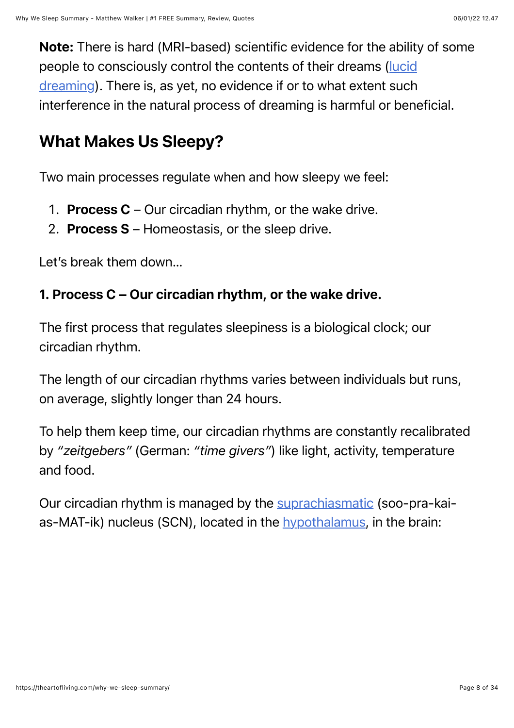Note: There is hard (MRI-based) scientific evidence for the ability of some [people to consciously control the contents of their dreams \(lucid](https://en.wikipedia.org/wiki/Lucid_dream) dreaming). There is, as yet, no evidence if or to what extent such interference in the natural process of dreaming is harmful or beneficial.

### What Makes Us Sleepy?

Two main processes regulate when and how sleepy we feel:

- 1. **Process C** Our circadian rhythm, or the wake drive.
- 2. Process S Homeostasis, or the sleep drive.

Let's break them down…

#### 1. Process C – Our circadian rhythm, or the wake drive.

The first process that regulates sleepiness is a biological clock; our circadian rhythm.

The length of our circadian rhythms varies between individuals but runs, on average, slightly longer than 24 hours.

To help them keep time, our circadian rhythms are constantly recalibrated by *"zeitgebers"* (German: *"time givers"*) like light, activity, temperature and food.

Our circadian rhythm is managed by the [suprachiasmatic](https://en.wikipedia.org/wiki/Suprachiasmatic_nucleus) (soo-pra-kaias-MAT-ik) nucleus (SCN), located in the [hypothalamus](https://en.wikipedia.org/wiki/Hypothalamus), in the brain: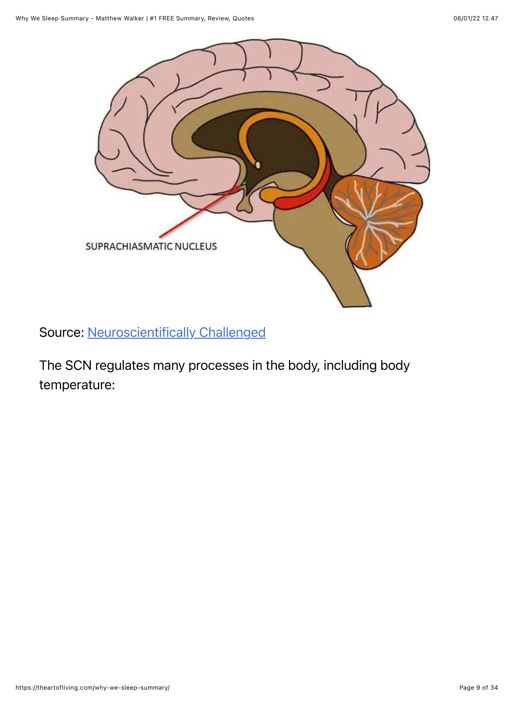

Source: [Neuroscientifically Challenged](https://www.neuroscientificallychallenged.com/blog/know-your-brain-suprachiasmatic-nucleus)

The SCN regulates many processes in the body, including body temperature: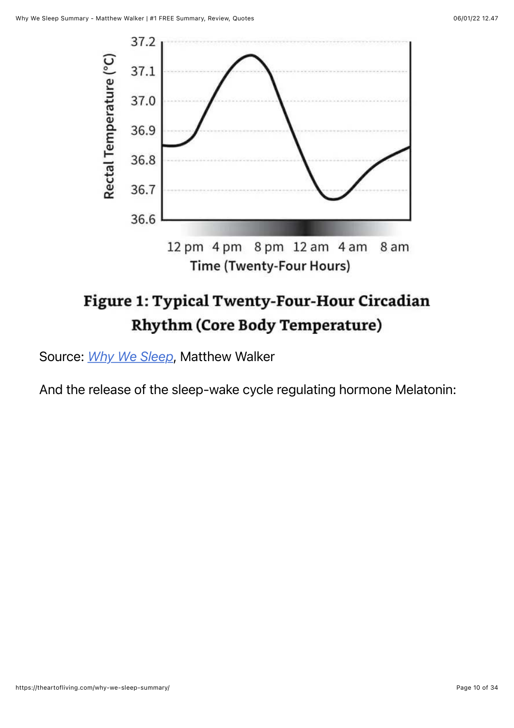

# Figure 1: Typical Twenty-Four-Hour Circadian **Rhythm (Core Body Temperature)**

Source: *[Why We Sleep](https://www.amazon.com/dp/1501144324/?tag=whywhathow-20)*, Matthew Walker

And the release of the sleep-wake cycle regulating hormone Melatonin: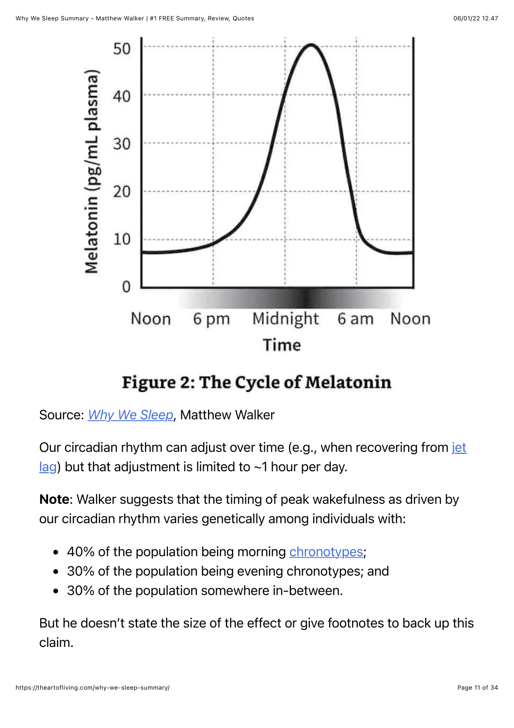

### **Figure 2: The Cycle of Melatonin**

Source: *[Why We Sleep](https://www.amazon.com/dp/1501144324/?tag=whywhathow-20)*, Matthew Walker

[Our circadian rhythm can adjust over time \(e.g., when recovering from jet](https://en.wikipedia.org/wiki/Jet_lag)  $\log$ ) but that adjustment is limited to ~1 hour per day.

Note: Walker suggests that the timing of peak wakefulness as driven by our circadian rhythm varies genetically among individuals with:

- 40% of the population being morning [chronotypes](https://en.wikipedia.org/wiki/Chronotype);
- 30% of the population being evening chronotypes; and
- 30% of the population somewhere in-between.

But he doesn't state the size of the effect or give footnotes to back up this claim.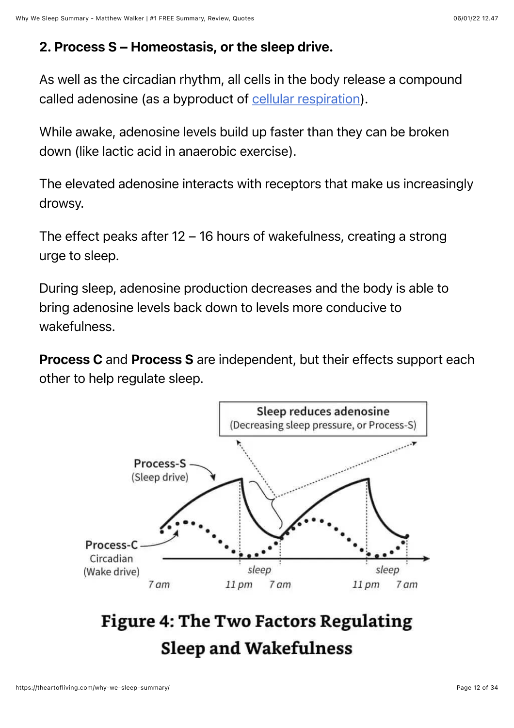#### 2. Process S – Homeostasis, or the sleep drive.

As well as the circadian rhythm, all cells in the body release a compound called adenosine (as a byproduct of [cellular respiration\)](https://en.wikipedia.org/wiki/Cellular_respiration).

While awake, adenosine levels build up faster than they can be broken down (like lactic acid in anaerobic exercise).

The elevated adenosine interacts with receptors that make us increasingly drowsy.

The effect peaks after 12 – 16 hours of wakefulness, creating a strong urge to sleep.

During sleep, adenosine production decreases and the body is able to bring adenosine levels back down to levels more conducive to wakefulness.

**Process C** and **Process S** are independent, but their effects support each other to help regulate sleep.



# **Figure 4: The Two Factors Regulating Sleep and Wakefulness**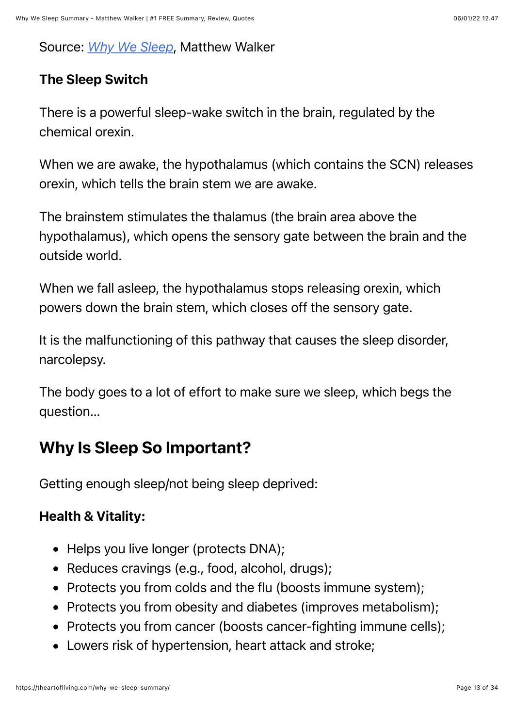#### Source: *[Why We Sleep](https://www.amazon.com/dp/1501144324/?tag=whywhathow-20)*, Matthew Walker

#### The Sleep Switch

There is a powerful sleep-wake switch in the brain, regulated by the chemical orexin.

When we are awake, the hypothalamus (which contains the SCN) releases orexin, which tells the brain stem we are awake.

The brainstem stimulates the thalamus (the brain area above the hypothalamus), which opens the sensory gate between the brain and the outside world.

When we fall asleep, the hypothalamus stops releasing orexin, which powers down the brain stem, which closes off the sensory gate.

It is the malfunctioning of this pathway that causes the sleep disorder, narcolepsy.

The body goes to a lot of effort to make sure we sleep, which begs the question…

### Why Is Sleep So Important?

Getting enough sleep/not being sleep deprived:

#### Health & Vitality:

- Helps you live longer (protects DNA);
- Reduces cravings (e.g., food, alcohol, drugs);
- Protects you from colds and the flu (boosts immune system);
- Protects you from obesity and diabetes (improves metabolism);
- Protects you from cancer (boosts cancer-fighting immune cells);
- Lowers risk of hypertension, heart attack and stroke;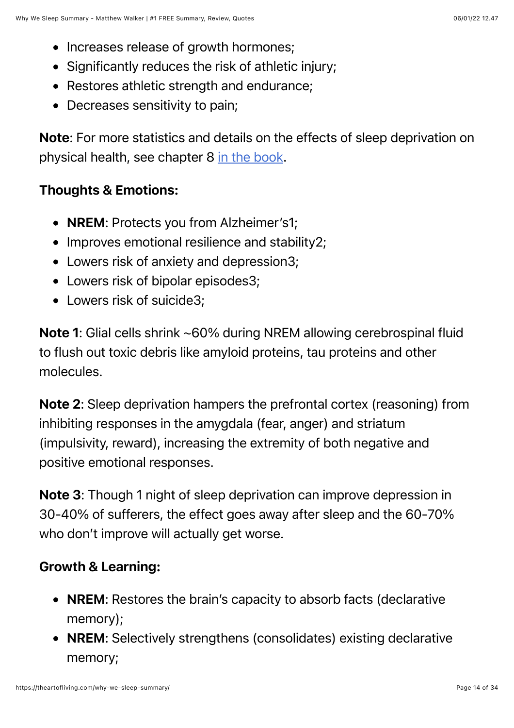- Increases release of growth hormones;
- Significantly reduces the risk of athletic injury;
- Restores athletic strength and endurance;
- Decreases sensitivity to pain;

Note: For more statistics and details on the effects of sleep deprivation on physical health, see chapter 8 [in the book.](https://www.amazon.com/dp/1501144324/?tag=whywhathow-20)

#### Thoughts & Emotions:

- **NREM:** Protects you from Alzheimer's1;
- Improves emotional resilience and stability2;
- Lowers risk of anxiety and depression3;
- Lowers risk of bipolar episodes3:
- Lowers risk of suicide3;

Note 1: Glial cells shrink ~60% during NREM allowing cerebrospinal fluid to flush out toxic debris like amyloid proteins, tau proteins and other molecules.

Note 2: Sleep deprivation hampers the prefrontal cortex (reasoning) from inhibiting responses in the amygdala (fear, anger) and striatum (impulsivity, reward), increasing the extremity of both negative and positive emotional responses.

Note 3: Though 1 night of sleep deprivation can improve depression in 30-40% of sufferers, the effect goes away after sleep and the 60-70% who don't improve will actually get worse.

#### Growth & Learning:

- NREM: Restores the brain's capacity to absorb facts (declarative memory);
- NREM: Selectively strengthens (consolidates) existing declarative memory;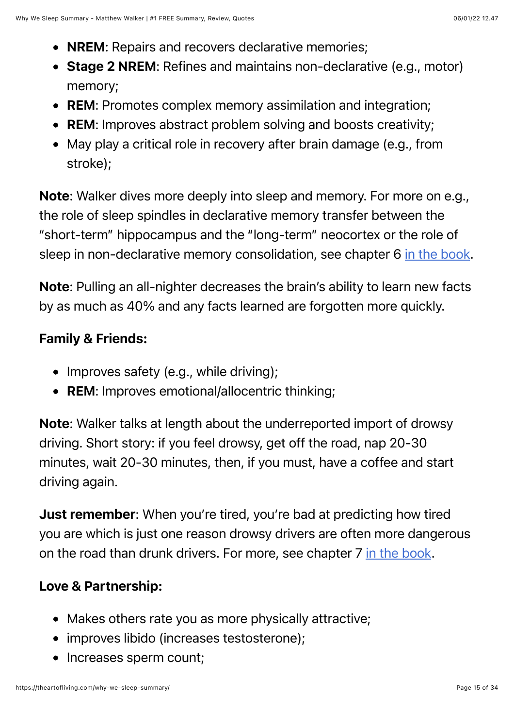- NREM: Repairs and recovers declarative memories;
- Stage 2 NREM: Refines and maintains non-declarative (e.g., motor) memory;
- REM: Promotes complex memory assimilation and integration;
- REM: Improves abstract problem solving and boosts creativity;
- May play a critical role in recovery after brain damage (e.g., from stroke);

Note: Walker dives more deeply into sleep and memory. For more on e.g., the role of sleep spindles in declarative memory transfer between the "short-term" hippocampus and the "long-term" neocortex or the role of sleep in non-declarative memory consolidation, see chapter 6 [in the book](https://www.amazon.com/dp/1501144324/?tag=whywhathow-20).

Note: Pulling an all-nighter decreases the brain's ability to learn new facts by as much as 40% and any facts learned are forgotten more quickly.

#### Family & Friends:

- Improves safety (e.g., while driving);
- REM: Improves emotional/allocentric thinking;

Note: Walker talks at length about the underreported import of drowsy driving. Short story: if you feel drowsy, get off the road, nap 20-30 minutes, wait 20-30 minutes, then, if you must, have a coffee and start driving again.

**Just remember:** When you're tired, you're bad at predicting how tired you are which is just one reason drowsy drivers are often more dangerous on the road than drunk drivers. For more, see chapter 7 [in the book](https://www.amazon.com/dp/1501144324/?tag=whywhathow-20).

#### Love & Partnership:

- Makes others rate you as more physically attractive;
- improves libido (increases testosterone);
- Increases sperm count;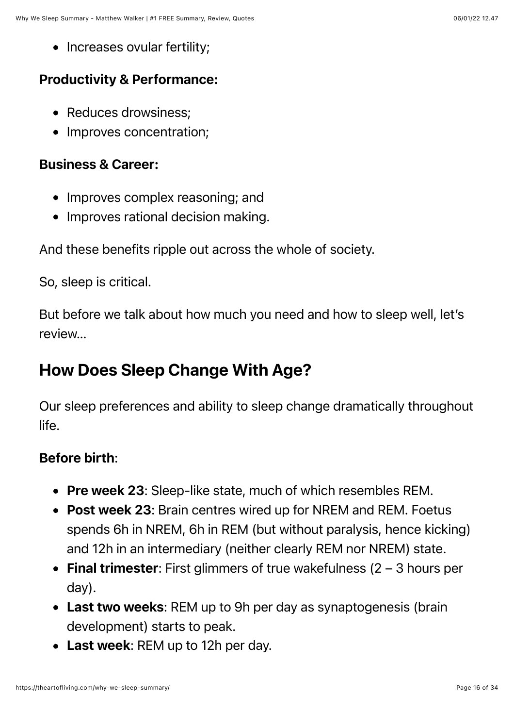• Increases ovular fertility;

#### Productivity & Performance:

- Reduces drowsiness;
- Improves concentration;

#### Business & Career:

- Improves complex reasoning; and
- Improves rational decision making.

And these benefits ripple out across the whole of society.

So, sleep is critical.

But before we talk about how much you need and how to sleep well, let's review…

### How Does Sleep Change With Age?

Our sleep preferences and ability to sleep change dramatically throughout life.

#### Before birth:

- Pre week 23: Sleep-like state, much of which resembles REM.
- Post week 23: Brain centres wired up for NREM and REM. Foetus spends 6h in NREM, 6h in REM (but without paralysis, hence kicking) and 12h in an intermediary (neither clearly REM nor NREM) state.
- Final trimester: First glimmers of true wakefulness  $(2 3$  hours per day).
- Last two weeks: REM up to 9h per day as synaptogenesis (brain development) starts to peak.
- Last week: REM up to 12h per day.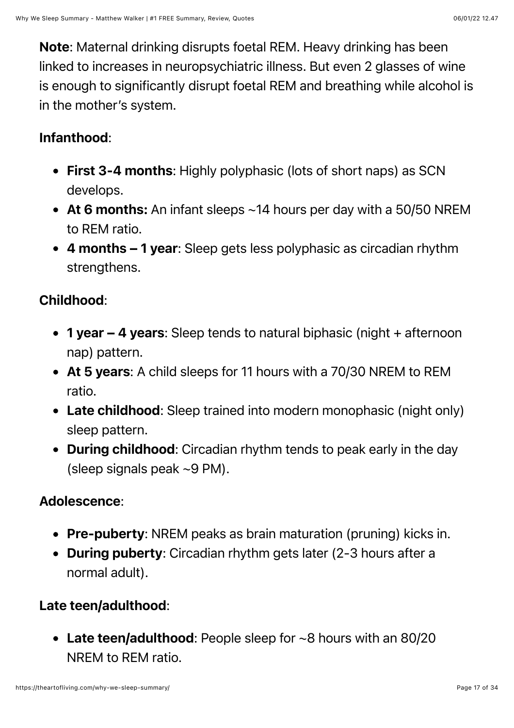Note: Maternal drinking disrupts foetal REM. Heavy drinking has been linked to increases in neuropsychiatric illness. But even 2 glasses of wine is enough to significantly disrupt foetal REM and breathing while alcohol is in the mother's system.

#### Infanthood:

- First 3-4 months: Highly polyphasic (lots of short naps) as SCN develops.
- At 6 months: An infant sleeps ~14 hours per day with a 50/50 NREM to REM ratio.
- 4 months 1 year: Sleep gets less polyphasic as circadian rhythm strengthens.

#### Childhood:

- 1 year 4 years: Sleep tends to natural biphasic (night + afternoon nap) pattern.
- At 5 years: A child sleeps for 11 hours with a 70/30 NREM to REM ratio.
- Late childhood: Sleep trained into modern monophasic (night only) sleep pattern.
- During childhood: Circadian rhythm tends to peak early in the day (sleep signals peak ~9 PM).

#### Adolescence:

- Pre-puberty: NREM peaks as brain maturation (pruning) kicks in.
- During puberty: Circadian rhythm gets later (2-3 hours after a normal adult).

#### Late teen/adulthood:

• Late teen/adulthood: People sleep for ~8 hours with an 80/20 NREM to REM ratio.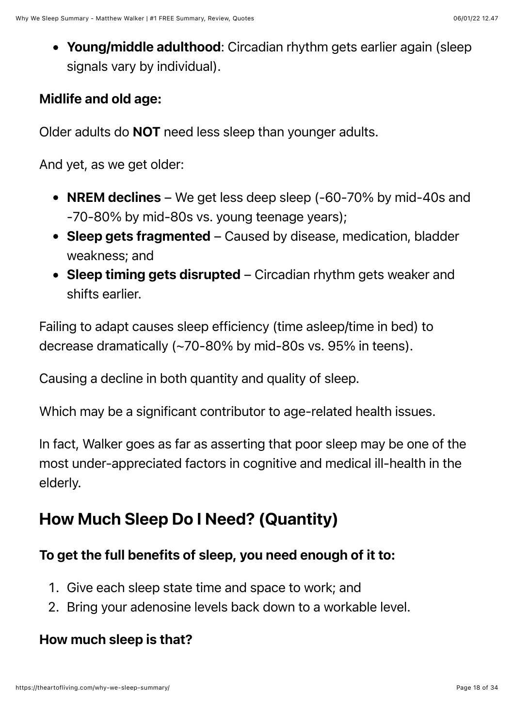• Young/middle adulthood: Circadian rhythm gets earlier again (sleep signals vary by individual).

#### Midlife and old age:

Older adults do NOT need less sleep than younger adults.

And yet, as we get older:

- NREM declines We get less deep sleep (-60-70% by mid-40s and -70-80% by mid-80s vs. young teenage years);
- Sleep gets fragmented Caused by disease, medication, bladder weakness; and
- Sleep timing gets disrupted Circadian rhythm gets weaker and shifts earlier.

Failing to adapt causes sleep efficiency (time asleep/time in bed) to decrease dramatically (~70-80% by mid-80s vs. 95% in teens).

Causing a decline in both quantity and quality of sleep.

Which may be a significant contributor to age-related health issues.

In fact, Walker goes as far as asserting that poor sleep may be one of the most under-appreciated factors in cognitive and medical ill-health in the elderly.

### How Much Sleep Do I Need? (Quantity)

#### To get the full benefits of sleep, you need enough of it to:

- 1. Give each sleep state time and space to work; and
- 2. Bring your adenosine levels back down to a workable level.

#### How much sleep is that?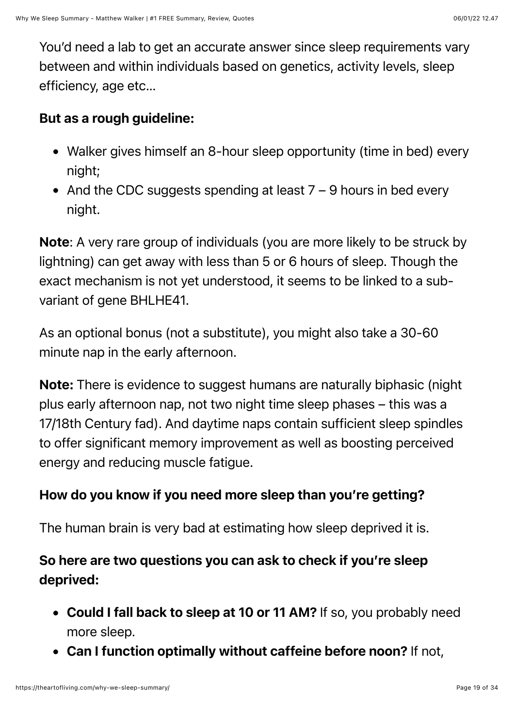You'd need a lab to get an accurate answer since sleep requirements vary between and within individuals based on genetics, activity levels, sleep efficiency, age etc…

#### But as a rough guideline:

- Walker gives himself an 8-hour sleep opportunity (time in bed) every night;
- And the CDC suggests spending at least  $7 9$  hours in bed every night.

Note: A very rare group of individuals (you are more likely to be struck by lightning) can get away with less than 5 or 6 hours of sleep. Though the exact mechanism is not yet understood, it seems to be linked to a subvariant of gene BHLHE41.

As an optional bonus (not a substitute), you might also take a 30-60 minute nap in the early afternoon.

Note: There is evidence to suggest humans are naturally biphasic (night plus early afternoon nap, not two night time sleep phases – this was a 17/18th Century fad). And daytime naps contain sufficient sleep spindles to offer significant memory improvement as well as boosting perceived energy and reducing muscle fatigue.

#### How do you know if you need more sleep than you're getting?

The human brain is very bad at estimating how sleep deprived it is.

#### So here are two questions you can ask to check if you're sleep deprived:

- Could I fall back to sleep at 10 or 11 AM? If so, you probably need more sleep.
- Can I function optimally without caffeine before noon? If not,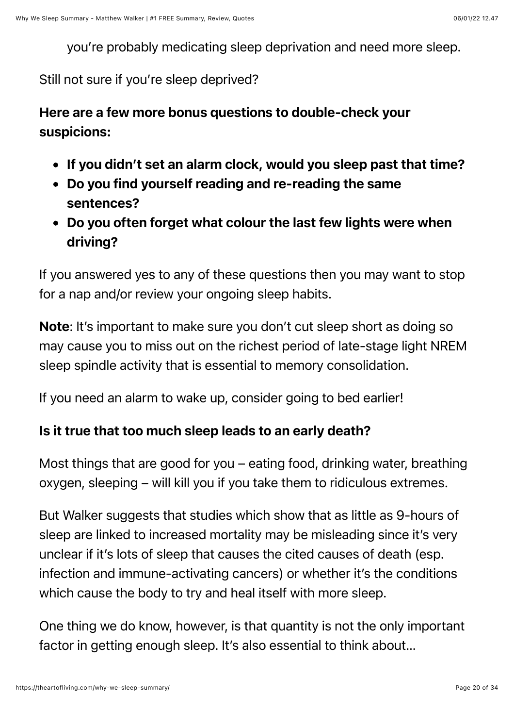you're probably medicating sleep deprivation and need more sleep.

#### Still not sure if you're sleep deprived?

#### Here are a few more bonus questions to double-check your suspicions:

- If you didn't set an alarm clock, would you sleep past that time?
- Do you find yourself reading and re-reading the same sentences?
- Do you often forget what colour the last few lights were when driving?

If you answered yes to any of these questions then you may want to stop for a nap and/or review your ongoing sleep habits.

Note: It's important to make sure you don't cut sleep short as doing so may cause you to miss out on the richest period of late-stage light NREM sleep spindle activity that is essential to memory consolidation.

If you need an alarm to wake up, consider going to bed earlier!

#### Is it true that too much sleep leads to an early death?

Most things that are good for you – eating food, drinking water, breathing oxygen, sleeping – will kill you if you take them to ridiculous extremes.

But Walker suggests that studies which show that as little as 9-hours of sleep are linked to increased mortality may be misleading since it's very unclear if it's lots of sleep that causes the cited causes of death (esp. infection and immune-activating cancers) or whether it's the conditions which cause the body to try and heal itself with more sleep.

One thing we do know, however, is that quantity is not the only important factor in getting enough sleep. It's also essential to think about…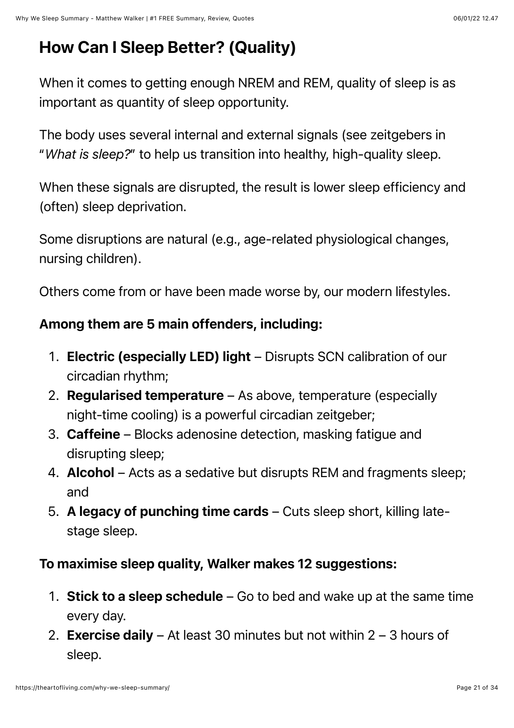# How Can I Sleep Better? (Quality)

When it comes to getting enough NREM and REM, quality of sleep is as important as quantity of sleep opportunity.

The body uses several internal and external signals (see zeitgebers in "*What is sleep?*" to help us transition into healthy, high-quality sleep.

When these signals are disrupted, the result is lower sleep efficiency and (often) sleep deprivation.

Some disruptions are natural (e.g., age-related physiological changes, nursing children).

Others come from or have been made worse by, our modern lifestyles.

#### Among them are 5 main offenders, including:

- 1. Electric (especially LED) light Disrupts SCN calibration of our circadian rhythm;
- 2. Regularised temperature As above, temperature (especially night-time cooling) is a powerful circadian zeitgeber;
- 3. Caffeine Blocks adenosine detection, masking fatigue and disrupting sleep;
- 4. Alcohol Acts as a sedative but disrupts REM and fragments sleep; and
- 5. A legacy of punching time cards Cuts sleep short, killing latestage sleep.

#### To maximise sleep quality, Walker makes 12 suggestions:

- 1. Stick to a sleep schedule  $-$  Go to bed and wake up at the same time every day.
- 2. Exercise daily At least 30 minutes but not within  $2 3$  hours of sleep.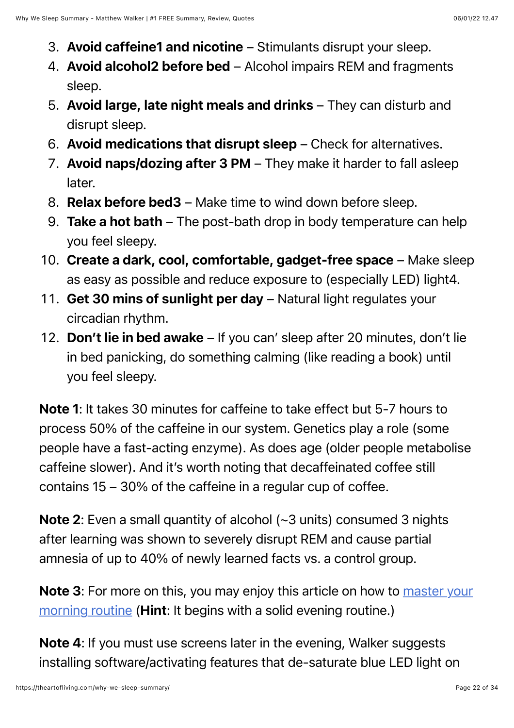- 3. Avoid caffeine1 and nicotine Stimulants disrupt your sleep.
- 4. Avoid alcohol2 before bed Alcohol impairs REM and fragments sleep.
- 5. Avoid large, late night meals and drinks They can disturb and disrupt sleep.
- 6. Avoid medications that disrupt sleep Check for alternatives.
- 7. Avoid naps/dozing after 3 PM They make it harder to fall asleep later.
- 8. Relax before bed3 Make time to wind down before sleep.
- 9. Take a hot bath  $-$  The post-bath drop in body temperature can help you feel sleepy.
- 10. Create a dark, cool, comfortable, gadget-free space Make sleep as easy as possible and reduce exposure to (especially LED) light4.
- 11. Get 30 mins of sunlight per day Natural light regulates your circadian rhythm.
- 12. Don't lie in bed awake If you can' sleep after 20 minutes, don't lie in bed panicking, do something calming (like reading a book) until you feel sleepy.

Note 1: It takes 30 minutes for caffeine to take effect but 5-7 hours to process 50% of the caffeine in our system. Genetics play a role (some people have a fast-acting enzyme). As does age (older people metabolise caffeine slower). And it's worth noting that decaffeinated coffee still contains 15 – 30% of the caffeine in a regular cup of coffee.

Note 2: Even a small quantity of alcohol (~3 units) consumed 3 nights after learning was shown to severely disrupt REM and cause partial amnesia of up to 40% of newly learned facts vs. a control group.

Note 3[: For more on this, you may enjoy this article on how to master your](https://theartofliving.com/morning-routine-win-before-others-begin/) morning routine (**Hint**: It begins with a solid evening routine.)

Note 4: If you must use screens later in the evening, Walker suggests installing software/activating features that de-saturate blue LED light on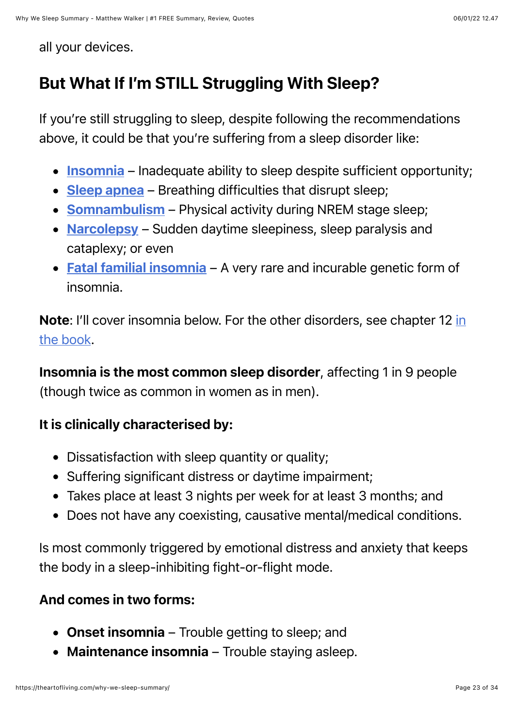all your devices.

### But What If I'm STILL Struggling With Sleep?

If you're still struggling to sleep, despite following the recommendations above, it could be that you're suffering from a sleep disorder like:

- [Insomnia](https://en.wikipedia.org/wiki/Insomnia) Inadequate ability to sleep despite sufficient opportunity;
- [Sleep apnea](https://en.wikipedia.org/wiki/Sleep_apnea) Breathing difficulties that disrupt sleep;
- **[Somnambulism](https://en.wikipedia.org/wiki/Sleepwalking)** Physical activity during NREM stage sleep;
- [Narcolepsy](https://en.wikipedia.org/wiki/Narcolepsy) Sudden daytime sleepiness, sleep paralysis and cataplexy; or even
- [Fatal familial insomnia](https://en.wikipedia.org/wiki/Fatal_insomnia) A very rare and incurable genetic form of insomnia.

Note[: I'll cover insomnia below. For the other disorders, see chapter 12 in](https://www.amazon.com/dp/1501144324/?tag=whywhathow-20) the book.

Insomnia is the most common sleep disorder, affecting 1 in 9 people (though twice as common in women as in men).

#### It is clinically characterised by:

- Dissatisfaction with sleep quantity or quality;
- Suffering significant distress or daytime impairment;
- Takes place at least 3 nights per week for at least 3 months; and
- Does not have any coexisting, causative mental/medical conditions.

Is most commonly triggered by emotional distress and anxiety that keeps the body in a sleep-inhibiting fight-or-flight mode.

#### And comes in two forms:

- Onset insomnia Trouble getting to sleep; and
- Maintenance insomnia Trouble staying asleep.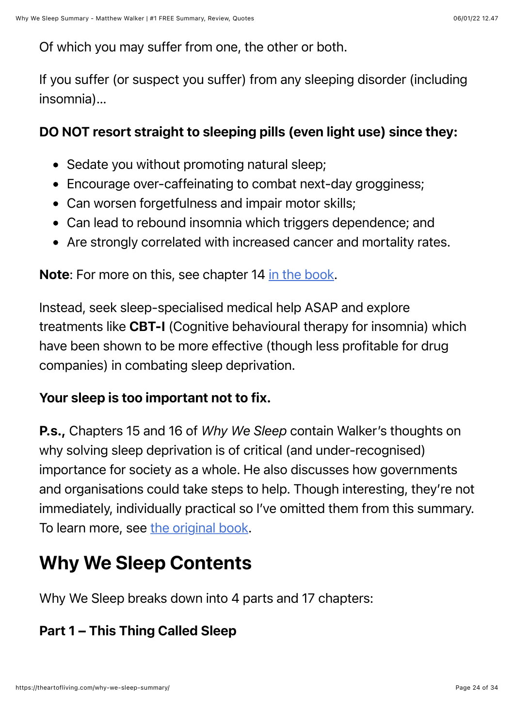Of which you may suffer from one, the other or both.

If you suffer (or suspect you suffer) from any sleeping disorder (including insomnia)…

#### DO NOT resort straight to sleeping pills (even light use) since they:

- Sedate you without promoting natural sleep;
- Encourage over-caffeinating to combat next-day grogginess;
- Can worsen forgetfulness and impair motor skills;
- Can lead to rebound insomnia which triggers dependence; and
- Are strongly correlated with increased cancer and mortality rates.

Note: For more on this, see chapter 14 [in the book.](https://www.amazon.com/dp/1501144324/?tag=whywhathow-20)

Instead, seek sleep-specialised medical help ASAP and explore treatments like CBT-I (Cognitive behavioural therapy for insomnia) which have been shown to be more effective (though less profitable for drug companies) in combating sleep deprivation.

#### Your sleep is too important not to fix.

P.s., Chapters 15 and 16 of *Why We Sleep* contain Walker's thoughts on why solving sleep deprivation is of critical (and under-recognised) importance for society as a whole. He also discusses how governments and organisations could take steps to help. Though interesting, they're not immediately, individually practical so I've omitted them from this summary. To learn more, see [the original book](https://www.amazon.com/dp/1501144324/?tag=whywhathow-20).

# Why We Sleep Contents

Why We Sleep breaks down into 4 parts and 17 chapters:

#### Part 1 – This Thing Called Sleep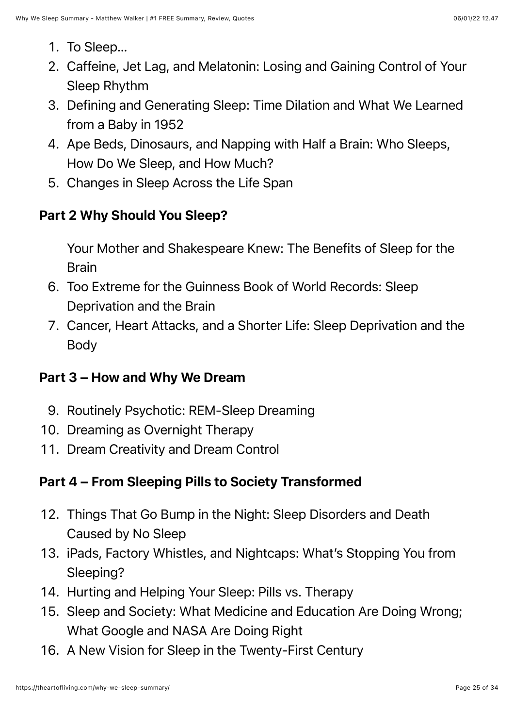- 1. To Sleep…
- 2. Caffeine, Jet Lag, and Melatonin: Losing and Gaining Control of Your Sleep Rhythm
- 3. Defining and Generating Sleep: Time Dilation and What We Learned from a Baby in 1952
- 4. Ape Beds, Dinosaurs, and Napping with Half a Brain: Who Sleeps, How Do We Sleep, and How Much?
- 5. Changes in Sleep Across the Life Span

#### Part 2 Why Should You Sleep?

Your Mother and Shakespeare Knew: The Benefits of Sleep for the Brain

- 6. Too Extreme for the Guinness Book of World Records: Sleep Deprivation and the Brain
- 7. Cancer, Heart Attacks, and a Shorter Life: Sleep Deprivation and the Body

#### Part 3 – How and Why We Dream

- 9. Routinely Psychotic: REM-Sleep Dreaming
- 10. Dreaming as Overnight Therapy
- 11. Dream Creativity and Dream Control

#### Part 4 – From Sleeping Pills to Society Transformed

- 12. Things That Go Bump in the Night: Sleep Disorders and Death Caused by No Sleep
- 13. iPads, Factory Whistles, and Nightcaps: What's Stopping You from Sleeping?
- 14. Hurting and Helping Your Sleep: Pills vs. Therapy
- 15. Sleep and Society: What Medicine and Education Are Doing Wrong; What Google and NASA Are Doing Right
- 16. A New Vision for Sleep in the Twenty-First Century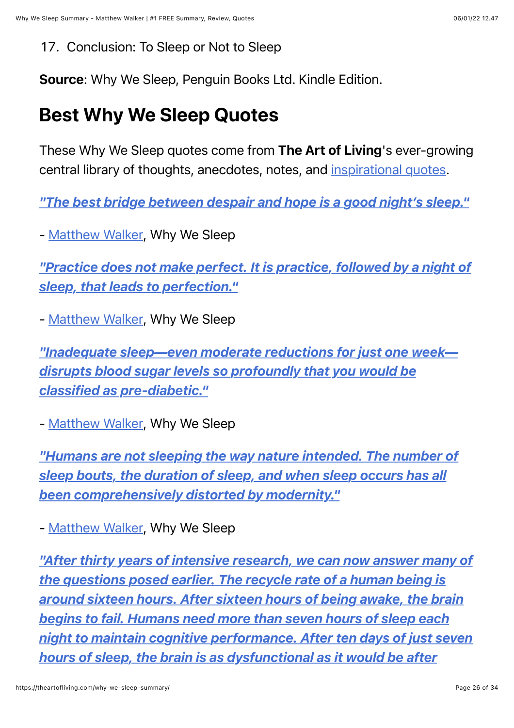#### 17. Conclusion: To Sleep or Not to Sleep

Source: Why We Sleep, Penguin Books Ltd. Kindle Edition.

# Best Why We Sleep Quotes

These Why We Sleep quotes come from The Art of Living's ever-growing central library of thoughts, anecdotes, notes, and [inspirational quotes](https://theartofliving.com/inspirational-quotes).

*["The best bridge between despair and hope is a good night's sleep."](https://theartofliving.com/quote/matthew-walker-the-best-bridge-between-despair/)*

- [Matthew Walker,](https://theartofliving.com/best-matthew-walker-books/) Why We Sleep

*["Practice does not make perfect. It is practice, followed by a night of](https://theartofliving.com/quote/matthew-walker-practice-does-not-make-perfect/) sleep, that leads to perfection."*

- [Matthew Walker,](https://theartofliving.com/best-matthew-walker-books/) Why We Sleep

*["Inadequate sleep—even moderate reductions for just one week](https://theartofliving.com/quote/matthew-walker-inadequate-sleep-even-moderate-reductions-for/) disrupts blood sugar levels so profoundly that you would be classified as pre-diabetic."*

- [Matthew Walker,](https://theartofliving.com/best-matthew-walker-books/) Why We Sleep

*["Humans are not sleeping the way nature intended. The number of](https://theartofliving.com/quote/matthew-walker-humans-are-not-sleeping-the/) sleep bouts, the duration of sleep, and when sleep occurs has all been comprehensively distorted by modernity."*

- [Matthew Walker,](https://theartofliving.com/best-matthew-walker-books/) Why We Sleep

*["After thirty years of intensive research, we can now answer many of](https://theartofliving.com/quote/matthew-walker-after-thirty-years-of-intensive/) the questions posed earlier. The recycle rate of a human being is around sixteen hours. After sixteen hours of being awake, the brain begins to fail. Humans need more than seven hours of sleep each night to maintain cognitive performance. After ten days of just seven hours of sleep, the brain is as dysfunctional as it would be after*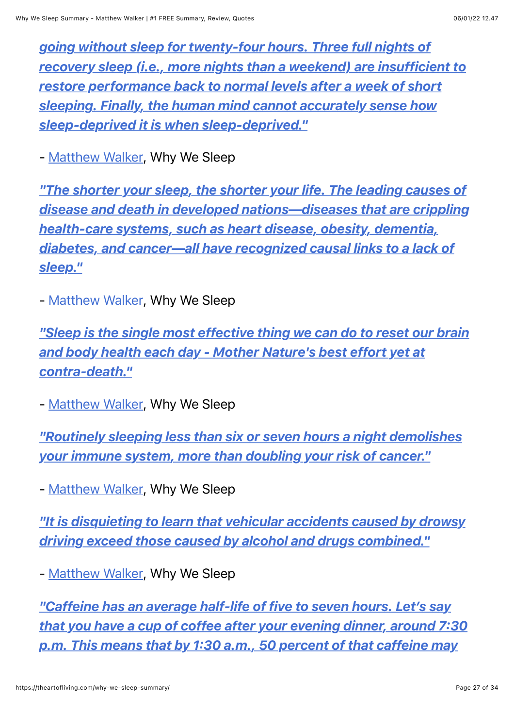*going without sleep for twenty-four hours. Three full nights of [recovery sleep \(i.e., more nights than a weekend\) are insufficient to](https://theartofliving.com/quote/matthew-walker-after-thirty-years-of-intensive/) restore performance back to normal levels after a week of short sleeping. Finally, the human mind cannot accurately sense how sleep-deprived it is when sleep-deprived."*

- [Matthew Walker,](https://theartofliving.com/best-matthew-walker-books/) Why We Sleep

*"The shorter your sleep, the shorter your life. The leading causes of [disease and death in developed nations—diseases that are crippling](https://theartofliving.com/quote/matthew-walker-the-shorter-your-sleep-the/) health-care systems, such as heart disease, obesity, dementia, diabetes, and cancer—all have recognized causal links to a lack of sleep."*

- [Matthew Walker,](https://theartofliving.com/best-matthew-walker-books/) Why We Sleep

*["Sleep is the single most effective thing we can do to reset our brain](https://theartofliving.com/quote/matthew-walker-sleep-is-the-single-most/) and body health each day - Mother Nature's best effort yet at contra-death."*

- [Matthew Walker,](https://theartofliving.com/best-matthew-walker-books/) Why We Sleep

*["Routinely sleeping less than six or seven hours a night demolishes](https://theartofliving.com/quote/matthew-walker-routinely-sleeping-less-than-six/) your immune system, more than doubling your risk of cancer."*

- [Matthew Walker,](https://theartofliving.com/best-matthew-walker-books/) Why We Sleep

*["It is disquieting to learn that vehicular accidents caused by drowsy](https://theartofliving.com/quote/matthew-walker-it-is-disquieting-to-learn/) driving exceed those caused by alcohol and drugs combined."*

- [Matthew Walker,](https://theartofliving.com/best-matthew-walker-books/) Why We Sleep

*"Caffeine has an average half-life of five to seven hours. Let's say [that you have a cup of coffee after your evening dinner, around 7:30](https://theartofliving.com/quote/matthew-walker-caffeine-has-an-average-half-life/) p.m. This means that by 1:30 a.m., 50 percent of that caffeine may*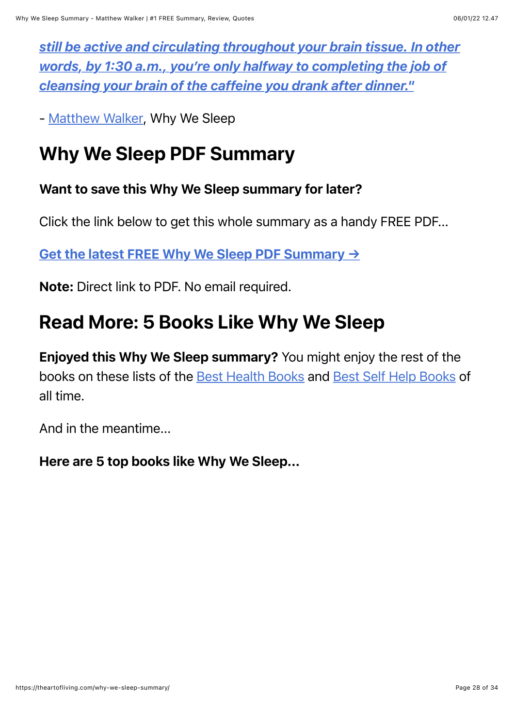*[still be active and circulating throughout your brain tissue. In other](https://theartofliving.com/quote/matthew-walker-caffeine-has-an-average-half-life/) words, by 1:30 a.m., you're only halfway to completing the job of cleansing your brain of the caffeine you drank after dinner."*

- [Matthew Walker,](https://theartofliving.com/best-matthew-walker-books/) Why We Sleep

# Why We Sleep PDF Summary

#### Want to save this Why We Sleep summary for later?

Click the link below to get this whole summary as a handy FREE PDF...

[Get the latest FREE Why We Sleep PDF Summary](https://theartofliving.com/) →

Note: Direct link to PDF. No email required.

# Read More: 5 Books Like Why We Sleep

Enjoyed this Why We Sleep summary? You might enjoy the rest of the books on these lists of the [Best Health Books](https://theartofliving.com/best-health-books-physical/) and [Best Self Help Books](https://theartofliving.com/best-self-help-books/) of all time.

And in the meantime...

Here are 5 top books like Why We Sleep...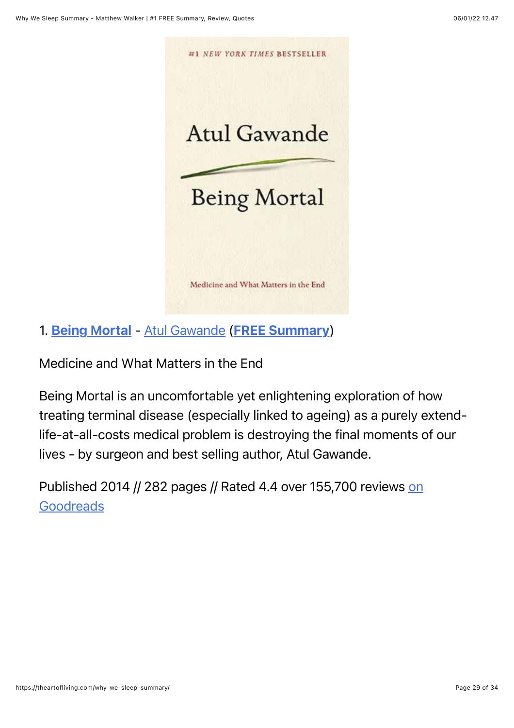

1. [Being Mortal](https://www.amazon.com/dp/1250076226/?tag=whywhathow-20) - [Atul Gawande](https://theartofliving.com/best-atul-gawande-books/) ([FREE Summary](https://theartofliving.com/being-mortal-summary/))

Medicine and What Matters in the End

Being Mortal is an uncomfortable yet enlightening exploration of how treating terminal disease (especially linked to ageing) as a purely extendlife-at-all-costs medical problem is destroying the final moments of our lives - by surgeon and best selling author, Atul Gawande.

[Published 2014 // 282 pages // Rated 4.4 over 155,700 reviews on](https://www.goodreads.com/book/show/20696006-being-mortal) **Goodreads**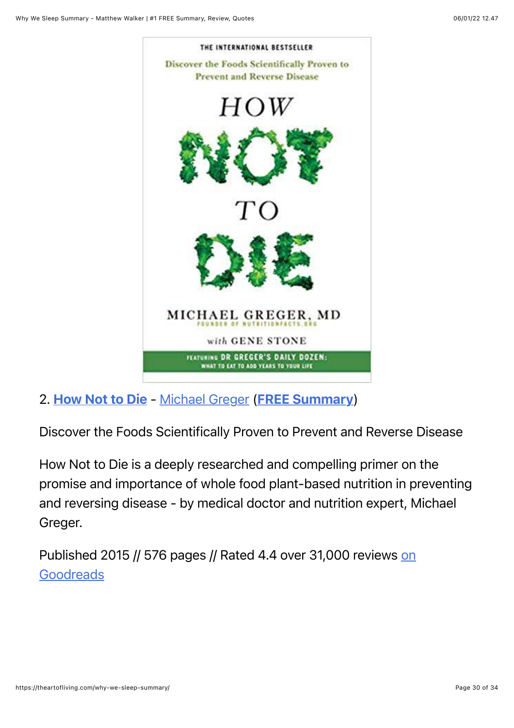

2. [How Not to Die](https://www.amazon.com/dp/1529010810/?tag=whywhathow-20) - [Michael Greger](https://theartofliving.com/best-michael-greger-books/) ([FREE Summary](https://theartofliving.com/how-not-to-die-summary/))

Discover the Foods Scientifically Proven to Prevent and Reverse Disease

How Not to Die is a deeply researched and compelling primer on the promise and importance of whole food plant-based nutrition in preventing and reversing disease - by medical doctor and nutrition expert, Michael Greger.

[Published 2015 // 576 pages // Rated 4.4 over 31,000 reviews on](https://www.goodreads.com/book/show/25663961-how-not-to-die) **Goodreads**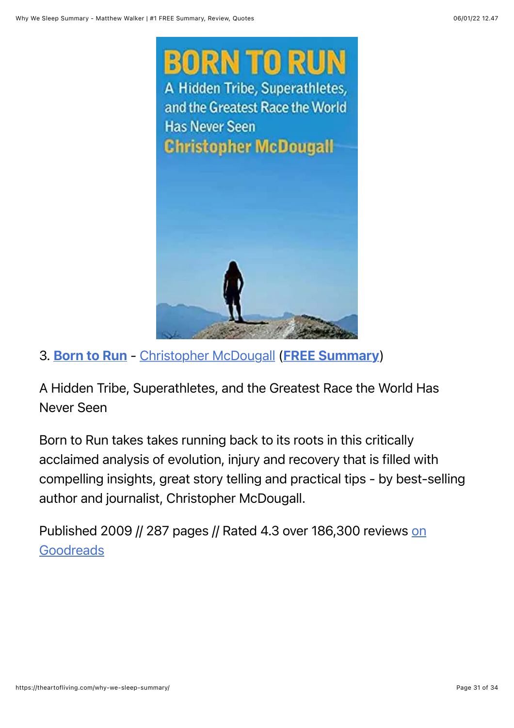

3. [Born to Run](https://www.amazon.com/dp/0307279189/?tag=whywhathow-20) - [Christopher McDougall](https://theartofliving.com/best-christopher-mcdougall-books/) ([FREE Summary](https://theartofliving.com/born-to-run-summary/))

A Hidden Tribe, Superathletes, and the Greatest Race the World Has Never Seen

Born to Run takes takes running back to its roots in this critically acclaimed analysis of evolution, injury and recovery that is filled with compelling insights, great story telling and practical tips - by best-selling author and journalist, Christopher McDougall.

[Published 2009 // 287 pages // Rated 4.3 over 186,300 reviews on](https://www.goodreads.com/book/show/6289283-born-to-run) Goodreads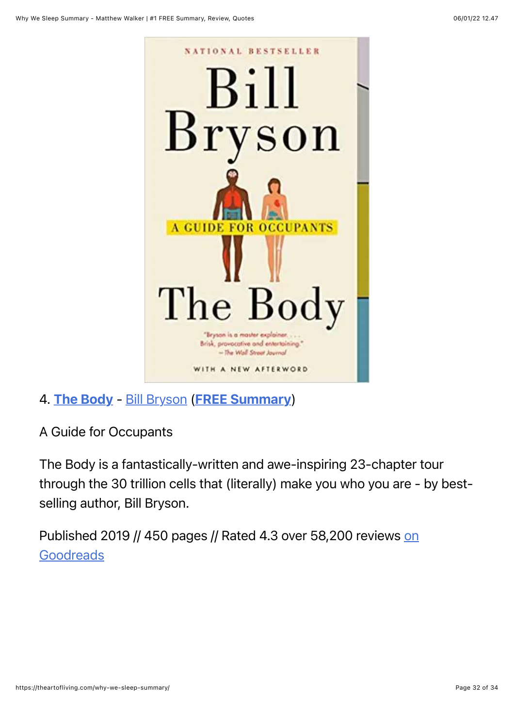

4. [The Body](https://www.amazon.com/dp/0385539304/?tag=whywhathow-20) - [Bill Bryson](https://theartofliving.com/best-bill-bryson-books/) ([FREE Summary](https://theartofliving.com/the-body-summary/))

A Guide for Occupants

The Body is a fantastically-written and awe-inspiring 23-chapter tour through the 30 trillion cells that (literally) make you who you are - by bestselling author, Bill Bryson.

[Published 2019 // 450 pages // Rated 4.3 over 58,200 reviews on](https://www.goodreads.com/book/show/43582376-the-body) **Goodreads**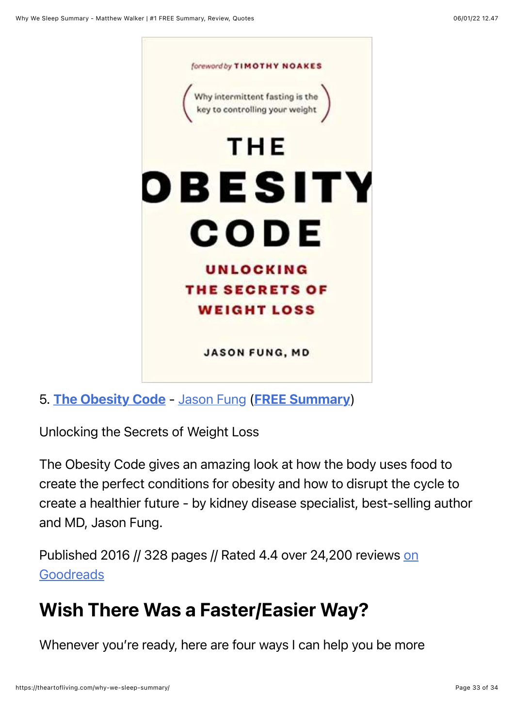

5. [The Obesity Code](https://www.amazon.com/dp/1771641258/?tag=whywhathow-20) - [Jason Fung](https://theartofliving.com/best-jason-fung-books/) ([FREE Summary](https://theartofliving.com/the-obesity-code-summary/))

Unlocking the Secrets of Weight Loss

The Obesity Code gives an amazing look at how the body uses food to create the perfect conditions for obesity and how to disrupt the cycle to create a healthier future - by kidney disease specialist, best-selling author and MD, Jason Fung.

[Published 2016 // 328 pages // Rated 4.4 over 24,200 reviews on](https://www.goodreads.com/book/show/24945404-the-obesity-code) Goodreads

# Wish There Was a Faster/Easier Way?

Whenever you're ready, here are four ways I can help you be more